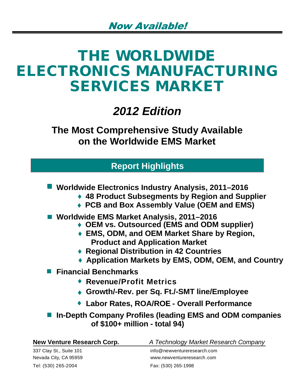# **THE WORLDWIDE ELECTRONICS MANUFACTURING SERVICES MARKET**

## *2012 Edition*

**The Most Comprehensive Study Available on the Worldwide EMS Market**

## **Report Highlights**

- **Worldwide Electronics Industry Analysis, 2011–2016** 
	- **48 Product Subsegments by Region and Supplier**
	- **PCB and Box Assembly Value (OEM and EMS)**
- **Worldwide EMS Market Analysis, 2011–2016** 
	- **OEM vs. Outsourced (EMS and ODM supplier)**
	- **EMS, ODM, and OEM Market Share by Region, Product and Application Market**
	- **Regional Distribution in 42 Countries**
	- **Application Markets by EMS, ODM, OEM, and Country**

**Financial Benchmarks** 

- **Revenue/Profit Metrics**
- **Growth/-Rev. per Sq. Ft./-SMT line/Employee**
- **Labor Rates, ROA/ROE Overall Performance**

**In-Depth Company Profiles (leading EMS and ODM companies of \$100+ million - total 94)**

| New Venture Research Corp. | A Technology Market Research Company |
|----------------------------|--------------------------------------|
| 337 Clay St., Suite 101    | info@newyentureresearch.com          |
| Nevada City, CA 95959      | www.newventureresearch.com           |
| Tel: (530) 265-2004        | Fax: (530) 265-1998                  |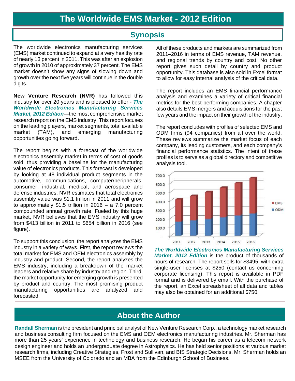### **Synopsis**

The worldwide electronics manufacturing services (EMS) market continued to expand at a very healthy rate of nearly 13 percent in 2011. This was after an explosion of growth in 2010 of approximately 37 percent. The EMS market doesn't show any signs of slowing down and growth over the next five years will continue in the double digits.

**New Venture Research (NVR)** has followed this industry for over 20 years and is pleased to offer - *The Worldwide Electronics Manufacturing Services Market, 2012 Edition*—the most comprehensive market research report on the EMS industry. This report focuses on the leading players, market segments, total available market (TAM), and emerging manufacturing opportunities going forward.

The report begins with a forecast of the worldwide electronics assembly market in terms of cost of goods sold, thus providing a baseline for the manufacturing value of electronics products. This forecast is developed by looking at 48 individual product segments in the automotive, communications, computer/peripherals, consumer, industrial, medical, and aerospace and defense industries. NVR estimates that total electronics assembly value was \$1.1 trillion in 2011 and will grow to approximately \$1.5 trillion in 2016 – a 7.0 percent compounded annual growth rate. Fueled by this huge market, NVR believes that the EMS industry will grow from \$413 billion in 2011 to \$654 billion in 2016 (see figure).

To support this conclusion, the report analyzes the EMS industry in a variety of ways. First, the report reviews the total market for EMS and OEM electronics assembly by industry and product. Second, the report analyzes the EMS industry, including a breakdown of the market leaders and relative share by industry and region. Third, the market opportunity for emerging growth is presented by product and country. The most promising product manufacturing opportunities are analyzed and forecasted.

All of these products and markets are summarized from 2011–2016 in terms of EMS revenue, TAM revenue, and regional trends by country and cost. No other report gives such detail by country and product opportunity. This database is also sold in Excel format to allow for easy internal analysis of the critical data.

The report includes an EMS financial performance analysis and examines a variety of critical financial metrics for the best-performing companies. A chapter also details EMS mergers and acquisitions for the past few years and the impact on their growth of the industry.

The report concludes with profiles of selected EMS and ODM firms (94 companies) from all over the world. These reviews summarize the market focus of each company, its leading customers, and each company's financial performance statistics. The intent of these profiles is to serve as a global directory and competitive analysis tool.



*The Worldwide Electronics Manufacturing Services Market, 2012 Edition* is the product of thousands of hours of research. The report sells for \$3495, with extra single-user licenses at \$250 (contact us concerning corporate licensing). This report is available in PDF format and is delivered by email. With the purchase of the report, an Excel spreadsheet of all data and tables may also be obtained for an additional \$750.

## **About the Author**

**Randall Sherman** is the president and principal analyst of New Venture Research Corp., a technology market research and business consulting firm focused on the EMS and OEM electronics manufacturing industries. Mr. Sherman has more than 25 years' experience in technology and business research. He began his career as a telecom network design engineer and holds an undergraduate degree in Astrophysics. He has held senior positions at various market research firms, including Creative Strategies, Frost and Sullivan, and BIS Strategic Decisions. Mr. Sherman holds an MSEE from the University of Colorado and an MBA from the Edinburgh School of Business.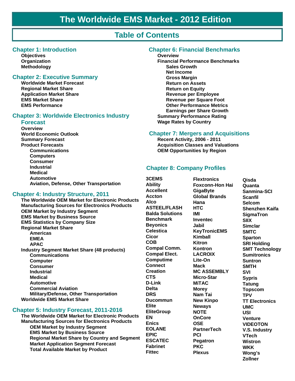## **Table of Contents**

#### **Chapter 1: Introduction**

**Objectives** Organization **Methodology** 

#### **Chapter 2: Executive Summary**

**Worldwide Market Forecast Regional Market Share Application Market Share EMS Market Share EMS Performance** 

#### **Chapter 3: Worldwide Electronics Industry**

#### **Forecast**

**Overview World Economic Outlook Summary Forecast Product Forecasts Communications Computers Consumer Industrial Medical Automotive** Aviation, Defense, Other Transportation

#### **Chapter 4: Industry Structure, 2011**

The Worldwide OEM Market for Electronic Products **Manufacturing Sources for Electronics Products OEM Market by Industry Segment EMS Market by Business Source EMS Statistics by Company Size Regional Market Share Americas EMEA APAC Industry Segment Market Share (48 products) Communications Computer Consumer Industrial Medical Automotive Commercial Aviation** Military/Defense, Other Transportation **Worldwide EMS Market Share** 

#### **Chapter 5: Industry Forecast, 2011-2016**

The Worldwide OEM Market for Electronic Products **Manufacturing Sources for Electronics Products OEM Market by Industry Segment EMS Market by Business Source Regional Market Share by Country and Segment Market Application Segment Forecast Total Available Market by Product** 

#### **Chapter 6: Financial Benchmarks**

#### **Overview**

**Financial Performance Benchmarks Sales Growth Net Income Gross Margin Return on Assets Return on Equity Revenue per Employee Revenue per Square Foot Other Performance Metrics Earnings per Share Growth Summary Performance Rating Wage Rates by Country** 

#### **Chapter 7: Mergers and Acquisitions**

Recent Activity, 2006 - 2011 **Acquisition Classes and Valuations OEM Opportunities by Region** 

#### **Chapter 8: Company Profiles**

**3CEMS Ability Accellent Accton Alco ASTEEL/FLASH Balda Solutions Benchmark Beyonics** Celestica **Cicor COB Compal Comm. Compal Elect. Computime Connect** Creation **CTS** D-Link **Delta DRS Ducommun Elite EliteGroup EN Enics EOLANE EPIC ESCATEC Fabrinet Fittec** 

**Flextronics Foxconn-Hon Hai GigaByte Global Brands** Hana **HTC IMI Inventec Jabil KevTronicEMS** Kimball Kitron **Kontron LACROIX** Lite-On **Mack MC ASSEMBLY** Micro-Star **MITAC Morev** Nam Tai **New Kinpo Newavs NOTE OnCore OSE PartnerTech PCI Pegatron PKC Plexus** 

**Qisda** Quanta Sanmina-SCI **Scanfil Selcom Shenzhen Kaifa SigmaTron SIIX Simclar SMTC Sparton SRI Holding SMT Technology Sumitronics Suntron SMTH** SVI **Sypris Tatung Topscom TPV TT Electronics UMC** USL Venture **VIDEOTON V.S. Industry VTech Wistron WKK** Wong's Zollner